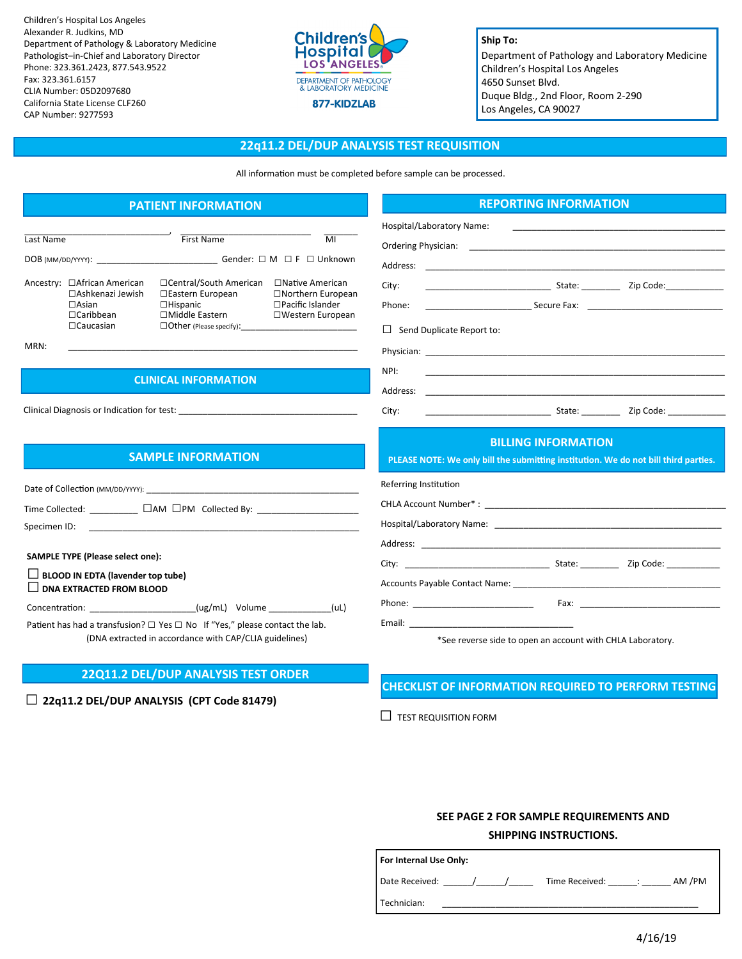Children's Hospital Los Angeles Alexander R. Judkins, MD Department of Pathology & Laboratory Medicine Pathologist–in-Chief and Laboratory Director Phone: 323.361.2423, 877.543.9522 Fax: 323.361.6157 CLIA Number: 05D2097680 California State License CLF260 CAP Number: 9277593



### **Ship To:**

Department of Pathology and Laboratory Medicine Children's Hospital Los Angeles 4650 Sunset Blvd. Duque Bldg., 2nd Floor, Room 2-290 Los Angeles, CA 90027

### **22q11.2 DEL/DUP ANALYSIS TEST REQUISITION**

All information must be completed before sample can be processed.

# **PATIENT INFORMATION**

| Last Name         |                                                                                                           | <b>First Name</b>                                                                                                    | MI                                                                                           |  |
|-------------------|-----------------------------------------------------------------------------------------------------------|----------------------------------------------------------------------------------------------------------------------|----------------------------------------------------------------------------------------------|--|
| DOB (MM/DD/YYYY): |                                                                                                           | Gender: □ M □ F □ Unknown                                                                                            |                                                                                              |  |
|                   | Ancestry: □African American<br>□ Ashkenazi Jewish<br>$\Box$ Asian<br>$\Box$ Caribbean<br>$\Box$ Caucasian | □Central/South American<br>□Eastern European<br>$\Box$ Hispanic<br>□Middle Eastern<br>$\Box$ Other (Please specify): | $\Box$ Native American<br>$\Box$ Northern European<br>□Pacific Islander<br>□Western European |  |

MRN: \_\_\_\_\_\_\_\_\_\_\_\_\_\_\_\_\_\_\_\_\_\_\_\_\_\_\_\_\_\_\_\_\_\_\_\_\_\_\_\_\_\_\_\_\_\_\_\_\_\_\_\_\_\_\_\_\_\_\_\_

## **CLINICAL INFORMATION**

Clinical Diagnosis or Indication for test:

## **SAMPLE INFORMATION**

| Date of Collection (MM/DD/YYYY):                                                                                       |  |  |      |  |  |  |  |  |
|------------------------------------------------------------------------------------------------------------------------|--|--|------|--|--|--|--|--|
| Time Collected: $\Box$ AM $\Box$ PM Collected By:<br>Specimen ID:                                                      |  |  |      |  |  |  |  |  |
| <b>SAMPLE TYPE (Please select one):</b><br>$\Box$ BLOOD IN EDTA (lavender top tube)<br>$\Box$ DNA EXTRACTED FROM BLOOD |  |  |      |  |  |  |  |  |
| Concentration: _______________________(ug/mL) Volume ____________                                                      |  |  | (UL) |  |  |  |  |  |

Patient has had a transfusion?  $\Box$  Yes  $\Box$  No If "Yes," please contact the lab. (DNA extracted in accordance with CAP/CLIA guidelines)

### **22Q11.2 DEL/DUP ANALYSIS TEST ORDER**

**□ 22q11.2 DEL/DUP ANALYSIS (CPT Code 81479)**

### **REPORTING INFORMATION**

| Hospital/Laboratory Name:                                                                                         | <u> 1989 - Andrea Stadt Britain, amerikansk politiker (</u>                      |                                                                                                                                                                                                                                |  |  |  |  |  |
|-------------------------------------------------------------------------------------------------------------------|----------------------------------------------------------------------------------|--------------------------------------------------------------------------------------------------------------------------------------------------------------------------------------------------------------------------------|--|--|--|--|--|
|                                                                                                                   |                                                                                  |                                                                                                                                                                                                                                |  |  |  |  |  |
| Address:                                                                                                          |                                                                                  |                                                                                                                                                                                                                                |  |  |  |  |  |
| City:                                                                                                             |                                                                                  |                                                                                                                                                                                                                                |  |  |  |  |  |
| Phone:                                                                                                            | __________________________________Secure Fax:   ________________________________ |                                                                                                                                                                                                                                |  |  |  |  |  |
| $\perp$<br>Send Duplicate Report to:                                                                              |                                                                                  |                                                                                                                                                                                                                                |  |  |  |  |  |
|                                                                                                                   |                                                                                  |                                                                                                                                                                                                                                |  |  |  |  |  |
| NPI:                                                                                                              |                                                                                  |                                                                                                                                                                                                                                |  |  |  |  |  |
| Address:                                                                                                          |                                                                                  |                                                                                                                                                                                                                                |  |  |  |  |  |
| City:                                                                                                             | <u>State: Zip Code:</u> Zip Code:                                                |                                                                                                                                                                                                                                |  |  |  |  |  |
| <b>BILLING INFORMATION</b><br>PLEASE NOTE: We only bill the submitting institution. We do not bill third parties. |                                                                                  |                                                                                                                                                                                                                                |  |  |  |  |  |
|                                                                                                                   |                                                                                  |                                                                                                                                                                                                                                |  |  |  |  |  |
| Referring Institution                                                                                             |                                                                                  |                                                                                                                                                                                                                                |  |  |  |  |  |
|                                                                                                                   |                                                                                  |                                                                                                                                                                                                                                |  |  |  |  |  |
|                                                                                                                   |                                                                                  |                                                                                                                                                                                                                                |  |  |  |  |  |
| Address:                                                                                                          |                                                                                  |                                                                                                                                                                                                                                |  |  |  |  |  |
|                                                                                                                   |                                                                                  |                                                                                                                                                                                                                                |  |  |  |  |  |
|                                                                                                                   |                                                                                  |                                                                                                                                                                                                                                |  |  |  |  |  |
|                                                                                                                   |                                                                                  | Fax: The contract of the contract of the contract of the contract of the contract of the contract of the contract of the contract of the contract of the contract of the contract of the contract of the contract of the contr |  |  |  |  |  |
|                                                                                                                   |                                                                                  |                                                                                                                                                                                                                                |  |  |  |  |  |

See reverse side to open an account with CHLA Laboratory.

# **CHECKLIST OF INFORMATION REQUIRED TO PERFORM TESTING**

 $\Box$  TEST REQUISITION FORM

# **SEE PAGE 2 FOR SAMPLE REQUIREMENTS AND SHIPPING INSTRUCTIONS.**

| For Internal Use Only: |                |                           |        |  |  |  |  |  |
|------------------------|----------------|---------------------------|--------|--|--|--|--|--|
| Date Received:         | Time Received: | and the first products of | AM /PM |  |  |  |  |  |
| Technician:            |                |                           |        |  |  |  |  |  |